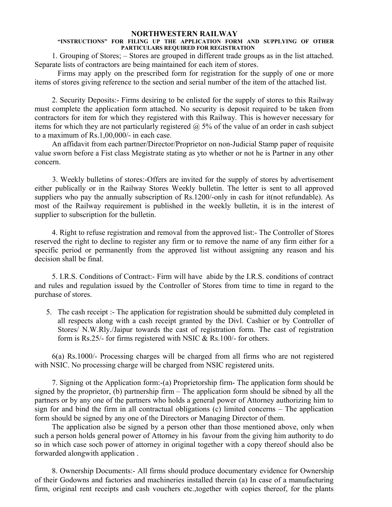# **NORTHWESTERN RAILWAY**

# **"INSTRUCTIONS" FOR FILING UP THE APPLICATION FORM AND SUPPLYING OF OTHER PARTICULARS REQUIRED FOR REGISTRATION**

1. Grouping of Stores; – Stores are grouped in different trade groups as in the list attached. Separate lists of contractors are being maintained for each item of stores.

Firms may apply on the prescribed form for registration for the supply of one or more items of stores giving reference to the section and serial number of the item of the attached list.

2. Security Deposits:- Firms desiring to be enlisted for the supply of stores to this Railway must complete the application form attached. No security is deposit required to be taken from contractors for item for which they registered with this Railway. This is however necessary for items for which they are not particularly registered  $\omega$  5% of the value of an order in cash subject to a maximum of Rs.1,00,000/- in each case.

An affidavit from each partner/Director/Proprietor on non-Judicial Stamp paper of requisite value sworn before a Fist class Megistrate stating as yto whether or not he is Partner in any other concern.

3. Weekly bulletins of stores:-Offers are invited for the supply of stores by advertisement either publically or in the Railway Stores Weekly bulletin. The letter is sent to all approved suppliers who pay the annually subscription of Rs.1200/-only in cash for it(not refundable). As most of the Railway requirement is published in the weekly bulletin, it is in the interest of supplier to subscription for the bulletin.

4. Right to refuse registration and removal from the approved list:- The Controller of Stores reserved the right to decline to register any firm or to remove the name of any firm either for a specific period or permanently from the approved list without assigning any reason and his decision shall be final.

5. I.R.S. Conditions of Contract:- Firm will have abide by the I.R.S. conditions of contract and rules and regulation issued by the Controller of Stores from time to time in regard to the purchase of stores.

5. The cash receipt :- The application for registration should be submitted duly completed in all respects along with a cash receipt granted by the Divl. Cashier or by Controller of Stores/ N.W.Rly./Jaipur towards the cast of registration form. The cast of registration form is Rs.25/- for firms registered with NSIC & Rs.100/- for others.

6(a) Rs.1000/- Processing charges will be charged from all firms who are not registered with NSIC. No processing charge will be charged from NSIC registered units.

7. Signing ot the Application form:-(a) Proprietorship firm- The application form should be signed by the proprietor, (b) partnership firm  $-$  The application form should be sibned by all the partners or by any one of the partners who holds a general power of Attorney authorizing him to sign for and bind the firm in all contractual obligations (c) limited concerns – The application form should be signed by any one of the Directors or Managing Director of them.

The application also be signed by a person other than those mentioned above, only when such a person holds general power of Attorney in his favour from the giving him authority to do so in which case soch power of attorney in original together with a copy thereof should also be forwarded alongwith application .

8. Ownership Documents:- All firms should produce documentary evidence for Ownership of their Godowns and factories and machineries installed therein (a) In case of a manufacturing firm, original rent receipts and cash vouchers etc.,together with copies thereof, for the plants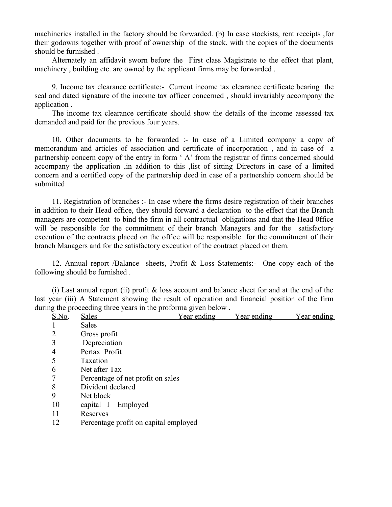machineries installed in the factory should be forwarded. (b) In case stockists, rent receipts ,for their godowns together with proof of ownership of the stock, with the copies of the documents should be furnished .

Alternately an affidavit sworn before the First class Magistrate to the effect that plant, machinery , building etc. are owned by the applicant firms may be forwarded .

9. Income tax clearance certificate:- Current income tax clearance certificate bearing the seal and dated signature of the income tax officer concerned , should invariably accompany the application .

The income tax clearance certificate should show the details of the income assessed tax demanded and paid for the previous four years.

10. Other documents to be forwarded :- In case of a Limited company a copy of memorandum and articles of association and certificate of incorporation , and in case of a partnership concern copy of the entry in form ' A' from the registrar of firms concerned should accompany the application ,in addition to this ,list of sitting Directors in case of a limited concern and a certified copy of the partnership deed in case of a partnership concern should be submitted

11. Registration of branches :- In case where the firms desire registration of their branches in addition to their Head office, they should forward a declaration to the effect that the Branch managers are competent to bind the firm in all contractual obligations and that the Head 0ffice will be responsible for the commitment of their branch Managers and for the satisfactory execution of the contracts placed on the office will be responsible for the commitment of their branch Managers and for the satisfactory execution of the contract placed on them.

12. Annual report /Balance sheets, Profit & Loss Statements:- One copy each of the following should be furnished .

(i) Last annual report (ii) profit & loss account and balance sheet for and at the end of the last year (iii) A Statement showing the result of operation and financial position of the firm during the proceeding three years in the proforma given below .

| S.No.          | Sales                                 | <u>Year ending</u> | <u>Year ending</u> | <u>Year ending</u> |
|----------------|---------------------------------------|--------------------|--------------------|--------------------|
|                | <b>Sales</b>                          |                    |                    |                    |
| $\overline{2}$ | Gross profit                          |                    |                    |                    |
| 3              | Depreciation                          |                    |                    |                    |
| $\overline{4}$ | Pertax Profit                         |                    |                    |                    |
| 5              | <b>Taxation</b>                       |                    |                    |                    |
| 6              | Net after Tax                         |                    |                    |                    |
| 7              | Percentage of net profit on sales     |                    |                    |                    |
| 8              | Divident declared                     |                    |                    |                    |
| 9              | Net block                             |                    |                    |                    |
| 10             | capital $-I$ – Employed               |                    |                    |                    |
| 11             | Reserves                              |                    |                    |                    |
| 12             | Percentage profit on capital employed |                    |                    |                    |
|                |                                       |                    |                    |                    |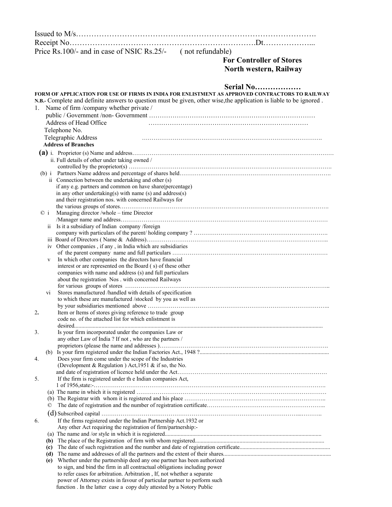Issued to M/s…………………………………………………………………………………. Receipt No……………………………………………………………….Dt………………... Price Rs.100/- and in case of NSIC Rs.25/- (not refundable) **For Controller of Stores North western, Railway Serial No……………… FORM OF APPLICATION FOR USE OF FIRMS IN INDIA FOR ENLISTMENT AS APPROVED CONTRACTORS TO RAILWAY N.B.-** Complete and definite answers to question must be given, other wise,the application is liable to be ignored . 1. Name of firm /company whether private / public / Government /non- Government …………………………………………………………………… Address of Head Office <br>  $\cdots$  Telephone No. Telegraphic Address …………………………………………………………………………………. **Address of Branches (a)** i. Proprietor (s) Name and address…………………………………………………………………………………………… ii. Full details of other under taking owned / controlled by the proprietor(s) ……………………………………………………………………………………………. (b) i Partners Name address and percentage of shares held……………………………………………………………………. ii Connection between the undertaking and other (s) if any e.g. partners and common on have share(percentage) in any other undertaking(s) with name (s) and address(s) and their registration nos. with concerned Railways for the various groups of stores………………………………………………………………………………………………. © i Managing director /whole – time Director /Manager name and address……………………………………………………………………………………………… ii Is it a subsidiary of Indian company /foreign company with particulars of the parent/ holding company ? ……………………………………………………………. iii Board of Directors ( Name & Address)………………………………………………………………………………….. iv Other companies , if any , in India which are subsidiaries of the parent company name and full particulars ……………………………………………………………………… v In which other companies the directors have financial interest or are represented on the Board ( s) of these other companies with name and address (s) and full particulars about the registration Nos . with concerned Railways for various groups of stores …………………………………………………………………………………………….. Stores manufactured /handled with details of specification to which these are manufactured /stocked by you as well as by your subsidiaries mentioned above ………………………………………………………………………………….. 2**.** Item or Items of stores giving reference to trade group code no. of the attached list for which enlistment is desired............................................................................................................................................................................. 3. Is your firm incorporated under the companies Law or any other Law of India ? If not , who are the partners / proprietors (please the name and addresses )……………………………………………………………………………. (b) Is your firm registered under the Indian Factories Act., 1948 ?.......................................................................................... 4. Does your firm come under the scope of the Industries (Development & Regulation ) Act,  $1951$  & if so, the No. and date of registration of licence held under the Act…………………………………………………………………… 5. If the firm is registered under th e Indian companies Act, 1 of 1956,state:-…………………………………………………………………………………………………………. (a) The name in which it is registered  $\ldots$   $\ldots$   $\ldots$   $\ldots$   $\ldots$   $\ldots$   $\ldots$   $\ldots$   $\ldots$   $\ldots$   $\ldots$   $\ldots$   $\ldots$   $\ldots$   $\ldots$   $\ldots$   $\ldots$   $\ldots$   $\ldots$   $\ldots$   $\ldots$   $\ldots$   $\ldots$   $\ldots$   $\ldots$   $\ldots$   $\ldots$   $\ldots$   $\ldots$   $\ldots$   $\$  (b) The Registrar with whom it is registered and his place ……………………………………………………………….. © The date of registration and the number of registration certificate…………………………………………………….. (d) Subscribed capital …………………………………………………………………………………………...……….. 6. If the firms registered under the Indian Partnership Act.1932 or Any other Act requiring the registration of firm/partnership:- (a) The name and /or style in which it is registered............................................................................................................. **(b)** The place of the Registration of firm with whom registered.......................................................................................... **(c)** The date of such registration and the number and date of registration certificate............................................................... **(d)** The name and addresses of all the partners and the extent of their shares........................................................................... **(e)** Whether under the partnership deed any one partner has been authorized to sign, and bind the firm in all contractual obligations including power to refer cases for arbitration. Arbitration , If, not whether a separate power of Attorney exists in favour of particular partner to perform such function . In the latter case a copy duly attested by a Notory Public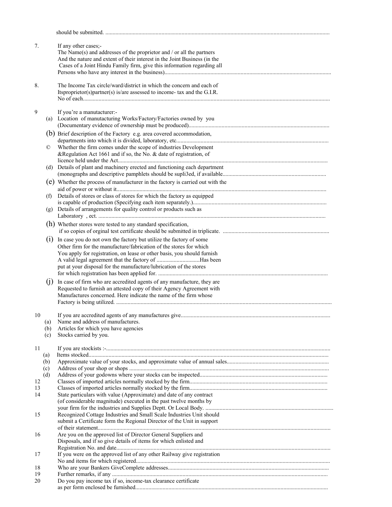| 7.             |                   | If any other cases;-<br>The Name(s) and addresses of the proprietor and $/$ or all the partners<br>And the nature and extent of their interest in the Joint Business (in the<br>Cases of a Joint Hindu Family firm, give this information regarding all                                   |  |
|----------------|-------------------|-------------------------------------------------------------------------------------------------------------------------------------------------------------------------------------------------------------------------------------------------------------------------------------------|--|
| 8.             |                   | The Income Tax circle/ward/district in which the concern and each of<br>Itsproprietor(s)partner(s) is/are assessed to income- tax and the G.I.R.                                                                                                                                          |  |
| 9              | (a)               | If you're a manutacturer:-<br>Location of manutacturing Works/Factory/Factories owned by you                                                                                                                                                                                              |  |
|                |                   | (b) Brief description of the Factory e.g. area covered accommodation,                                                                                                                                                                                                                     |  |
|                | $^{\circ}$        | Whether the firm comes under the scope of industries Development<br>&Regulation Act 1661 and if so, the No. & date of registration, of                                                                                                                                                    |  |
|                | (d)               | Details of plant and machinery erected and functioning each department                                                                                                                                                                                                                    |  |
|                |                   | (e) Whether the process of manufacturer in the factory is carried out with the                                                                                                                                                                                                            |  |
|                | (f)               | Details of stores or class of stores for which the factory as equipped                                                                                                                                                                                                                    |  |
|                | (g)               | Details of arrangements for quality control or products such as                                                                                                                                                                                                                           |  |
|                |                   | (h) Whether stores were tested to any standard specification,                                                                                                                                                                                                                             |  |
|                | (1)               | In case you do not own the factory but utilize the factory of some<br>Other firm for the manufacture/fabrication of the stores for which<br>You apply for registration, on lease or other basis, you should furnish<br>put at your disposal for the manufacture/lubrication of the stores |  |
|                | (i)               | In case of firm who are accredited agents of any manufacture, they are<br>Requested to furnish an attested copy of their Agency Agreement with<br>Manufactures concerned. Here indicate the name of the firm whose                                                                        |  |
| 10             | (a)<br>(b)<br>(c) | If you are accredited agents of any manufactures give.<br>Name and address of manufactures.<br>Articles for which you have agencies<br>Stocks carried by you.                                                                                                                             |  |
| 11             | (a)               |                                                                                                                                                                                                                                                                                           |  |
|                | (b)<br>(c)<br>(d) |                                                                                                                                                                                                                                                                                           |  |
| 12<br>13<br>14 |                   | State particulars with value (Approximate) and date of any contract<br>(of considerable magnitude) executed in the past twelve months by                                                                                                                                                  |  |
| 15             |                   | Recognized Cottage Industries and Small Scale Industries Unit should<br>submit a Certificate form the Regional Director of the Unit in support                                                                                                                                            |  |
| 16             |                   | Are you on the approved list of Director General Suppliers and<br>Disposals, and if so give details of items for which enlisted and                                                                                                                                                       |  |
| 17             |                   | If you were on the approved list of any other Railway give registration                                                                                                                                                                                                                   |  |
| 18<br>19       |                   |                                                                                                                                                                                                                                                                                           |  |
| 20             |                   | Do you pay income tax if so, income-tax clearance certificate                                                                                                                                                                                                                             |  |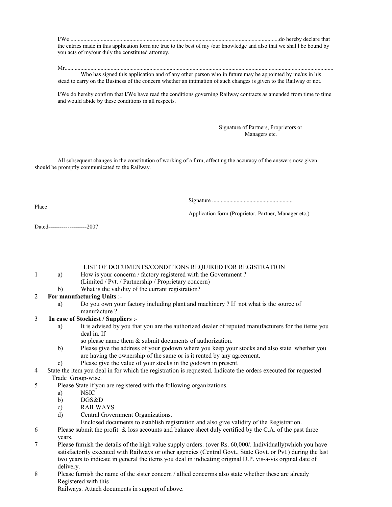I/We .................................................................................................................................................do hereby declare that the entries made in this application form are true to the best of my /our knowledge and also that we shal l be bound by you acts of my/our duly the constituted attorney.

Mr...........................................................................................................................................................................................

Who has signed this application and of any other person who in future may be appointed by me/us in his stead to carry on the Business of the concern whether an intimation of such changes is given to the Railway or not.

I/We do hereby confirm that I/We have read the conditions governing Railway contracts as amended from time to time and would abide by these conditions in all respects.

### Signature of Partners, Proprietors or Managers etc.

All subsequent changes in the constitution of working of a firm, affecting the accuracy of the answers now given should be promptly communicated to the Railway.

Signature ........................................................

Place

Application form (Proprietor, Partner, Manager etc.)

Dated--------------------2007

LIST OF DOCUMENTS/CONDITIONS REQUIRED FOR REGISTRATION

- 1 a) How is your concerm / factory registered with the Government ? (Limited / Pvt. / Partnership / Proprietary concern)
	- b) What is the validity of the currant registration?

## 2 **For manufacturing Units** :-

a) Do you own your factory including plant and machinery ? If not what is the source of manufacture ?

## 3 **In case of Stockiest / Suppliers** :-

- a) It is advised by you that you are the authorized dealer of reputed manufacturers for the items you deal in. If
	- so please name them & submit documents of authorization.
- b) Please give the address of your godown where you keep your stocks and also state whether you are having the ownership of the same or is it rented by any agreement.
- c) Please give the value of your stocks in the godown in present.
- 4 State the item you deal in for which the registration is requested. Indicate the orders executed for requested Trade Group-wise.
- 5 Please State if you are registered with the following organizations.
	- a) NSIC
	- b) DGS&D
	- c) RAILWAYS
	- d) Central Government Organizations.
		- Enclosed documents to establish registration and also give validity of the Registration.
- 6 Please submit the profit & loss accounts and balance sheet duly certified by the C.A. of the past three years.
- 7 Please furnish the details of the high value supply orders. (over Rs. 60,000/. Individually)which you have satisfactorily executed with Railways or other agencies (Central Govt., State Govt. or Pvt.) during the last two years to indicate in general the items you deal in indicating original D.P. vis-à-vis orginal date of delivery.
- 8 Please furnish the name of the sister concern / allied concerms also state whether these are already Registered with this

Railways. Attach documents in support of above.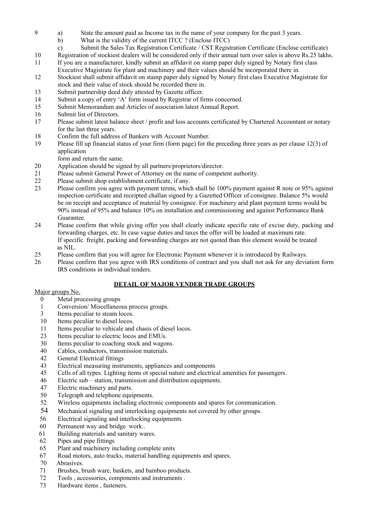- a) State the amount paid as Income tax in the name of your company for the past 3 years.
	- b) What is the validity of the current ITCC ? (Enclose ITCC)
	- c) Submit the Sales Tax Registration Certificate / CST Registration Certificate (Enclose certificate)
- Registration of stockiest dealers will be considered only if their annual turn over sales is above Rs.25 lakhs.
- If you are a manufacturer, kindly submit an affidavit on stamp paper duly signed by Notary first class Executive Magistrate for plant and machinery and their values should be incorporated there in.
- Stockiest shall submit affidavit on stamp paper duly signed by Notary first class Executive Magistrate for stock and their value of stock should be recorded there in.
- Submit partnership deed duly attested by Gazette officer.
- Submit a copy of entry 'A' form issued by Registrar of firms concerned.
- Submit Memorandum and Articles of association latest Annual Report.
- Submit list of Directors.
- Please submit latest balance sheet / profit and loss accounts certificated by Chartered Accountant or notary for the last three years.
- Confirm the full address of Bankers with Account Number.
- Please fill up financial status of your firm (form page) for the preceding three years as per clause 12(3) of application
	- form and return the same.
- Application should be signed by all partners/proprietors/director.
- Please submit General Power of Attorney on the name of competent authority.
- Please submit shop establishment certificate, if any.
- Please confirm you agree with payment terms, which shall be 100% payment against R note or 95% against inspection certificate and receipted challan signed by a Gazetted Officer of consignee. Balance 5% would be on receipt and acceptance of material by consignee. For machinery arid plant payment terms would be 90% instead of 95% and balance 10% on installation and commissioning and against Performance Bank Guarantee.
- Please confirm that while giving offer you shall clearly indicate specific rate of excise duty, packing and forwarding charges, etc. In case vague duties and taxes the offer will be loaded at maximum rate. If specific freight, packing and forwarding charges are not quoted than this element would be treated as NIL.
- Please confirm that you will agree for Electronic Payment whenever it is introduced by Railways.
- Please confirm that you agree with IRS conditions of contract and you shall not ask for any deviation form IRS conditions in individual tenders.

# **DETAIL OF MAJOR VENDER TRADE GROUPS**

## Major groups No.

- Metal processing groups
- Conversion/ Miscellaneous process groups.
- Items peculiar to steam locos.
- Items peculiar to diesel locos.
- Items peculiar to vehicale and chasis of diesel locos.
- Items peculiar to electric locos and EMUs.
- Items peculiar to coaching stock and wagons.
- Cables, conductors, transmission materials.
- General Electrical fittings
- Electrical measuring instruments, appliances and components
- Cells of all types. Lighting items ot special nature and electrical amenities for passengers.
- Electric sub station, transmission and distribution equipments.
- Electric machinery and parts.
- Telegraph and telephone equipments.
- Wireless equipments including electronic components and spares for communication.
- Mechanical signaling and interlocking equipments not covered by other groups.
- Electrical signaling and interlocking equipments
- 60 Permanent way and bridge work..
- Building materials and sanitary wares.
- Pipes and pipe fittings
- Plant and machinery including complete units
- Road motors, auto trucks, material handling equipments and spares.
- 70 Abrasives.
- Brushes, brush ware, baskets, and bamboo products.
- Tools , accessories, components and instruments .
- Hardware items , fasteners.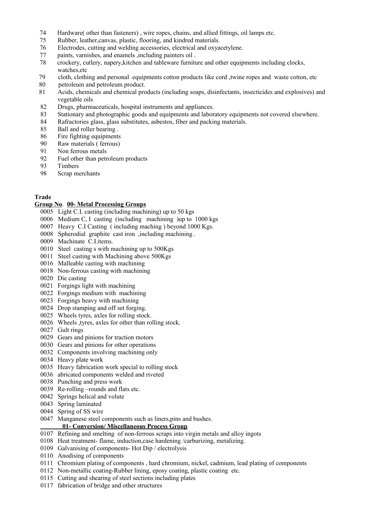- 74 Hardware( other than fasteners) , wire ropes, chains, and allied fittings, oil lamps etc.
- Rubber, leather,canvas, plastic, flooring, and kindred materials.
- Electrodes, cutting and welding accessories, electrical and oxyacetylene.
- 77 paints, varnishes, and enamels ,including painters oil .
- 78 crockery, cutlery, napery,kitchen and tableware furniture and other equipments including clocks, watches,etc
- 79 cloth, clothing and personal equipments cotton products like cord ,twine ropes and waste cotton, etc
- 80 petroleum and petroleum product.
- Acids, chemicals and chemical products (including soaps, disinfectants, insecticides and explosives) and vegetable oils
- Drugs, pharmaceuticals, hospital instruments and appliances.
- Stationary and photographic goods and equipments and laboratory equipments not covered elsewhere.
- Rafractories glass, glass substitutes, asbestos, fiber and packing materials.
- Ball and roller bearing .
- Fire fighting equipments
- Raw materials ( ferrous)
- Non ferrous metals
- Fuel other than petroleum products
- Timbers
- Scrap merchants

## **Trade**

### **Group No**. **00- Metal Processing Groups**

- 0005 Light C.I. casting (including machining) up to 50 kgs
- 0006 Medium C, I casting (including machining )up to 1000 kgs
- 0007 Heavy C.I Casting ( including maching ) beyond 1000 Kgs.
- 0008 Spherodial graphite cast iron ,including machining .
- 0009 Machinate C.I.items.
- 0010 Steel casting s with machining up to 500Kgs
- 0011 Steel casting with Machining above 500Kgs
- 0016 Malleable casting with machining
- Non-ferrous casting with machining
- Die casting
- Forgings light with machining
- Forgings medium with machining
- Forgings heavy with machining
- Drop stamping and off set forging.
- Wheels tyres, axles for rolling stock.
- Wheels ,tyres, axles for other than rolling stock.
- Gult rings
- Gears and pinions for traction motors
- Gears and pinions for other operations
- Components involving machining only
- Heavy plate work
- Heavy fabrication work special to rolling stock
- abricated components welded and riveted
- Punching and press work
- Re-rolling –rounds and flats etc.
- Springs helical and volute
- Spring laminated
- Spring of SS wire
- Manganese steel components such as liners,pins and bushes.

## **01- Conversion/ Miscellaneous Process Group**

- Refining and smelting of non-ferrous scraps into virgin metals and alloy ingots
- Heat treatment- flame, induction,case hardening /carburizing, metalizing.
- Galvanising of components- Hot Dip / electrolysis
- Anodising of components
- Chromium plating of components , hard chromium, nickel, cadmium, lead plating of components
- Non-metallic coating-Rubber lining, eposy coating, plastic coating etc.
- Cutting and shearing of steel sections including plates
- fabrication of bridge and other structures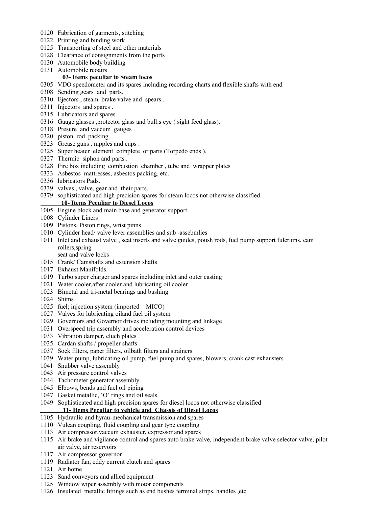- Fabrication of garments, stitching
- Printing and binding work
- Transporting of steel and other materials
- Clearance of consignments from the ports
- Automobile body building
- Automobile reoairs

### **03- Items peculiar to Steam locos**

- VDO speedometer and its spares including recording charts and flexible shafts with end
- Sending gears and parts.
- Ejectors , steam brake valve and spears .
- Injectors and spares .
- Lubricators and spares.
- Gauge glasses ,protector glass and bull:s eye ( sight feed glass).
- Presure and vaccum gauges .
- piston rod packing.
- Grease guns . nipples and cups .
- Super heater element complete or parts (Torpedo ends ).
- Thermic siphon and parts .
- Fire box including combustion chamber , tube and wrapper plates
- Asbestos mattresses, asbestos packing, etc.
- lubricators Pads.
- valves , valve, gear and their parts.
- sophisticated and high precision spares for steam locos not otherwise classified

## **10- Items Peculiar to Diesel Locos**

- Engine block and main base and generator support
- Cylinder Liners
- Pistons, Piston rings, wrist pinns
- Cylinder head/ valve lever assemblies and sub -assebmlies
- Inlet and exhaust valve , seat inserts and valve guides, poush rods, fuel pump support fulcrums, cam rollers,spring
	- seat and valve locks
- Crank/ Camshafts and extension shafts
- Exhaust Manifolds.
- Turbo super charger and spares including inlet and outer casting
- Water cooler,after cooler and lubricating oil cooler
- Bimetal and tri-metal bearings and bushing
- Shims
- fuel; injection system (imported MICO)
- Valves for lubricating oiland fuel oil system
- Governors and Governor drives including mounting and linkage
- Overspeed trip assembly and acceleration control devices
- Vibration damper, cluch plates
- Cardan shafts / propeller shafts
- Sock filters, paper filters, oilbath filters and strainers
- Water pump, lubricating oil pump, fuel pump and spares, blowers, crank cast exhausters
- Snubber valve assembly
- Air pressure control valves
- Tachometer generator assembly
- Elbows, bends and fuel oil piping
- Gasket metallic, 'O' rings and oil seals
- Sophisticated and high precision spares for diesel locos not otherwise classified

## **11- Items Peculiar to vehicle and Chassis of Diesel Locos**

- Hydraulic and hyrau-mechanical transmission and spares
- Vulcan coupling, fluid coupling and gear type coupling
- Air compressor,vaccum exhauster, expressor and spares
- Air brake and vigilance control and spares auto brake valve, independent brake valve selector valve, pilot air valve, air reservoirs
- Air compressor governor
- Radiator fan, eddy current clutch and spares
- Air home
- Sand conveyors and allied equipment
- Window wiper assembly with motor components
- Insulated metallic fittings such as end bushes terminal strips, handles ,etc.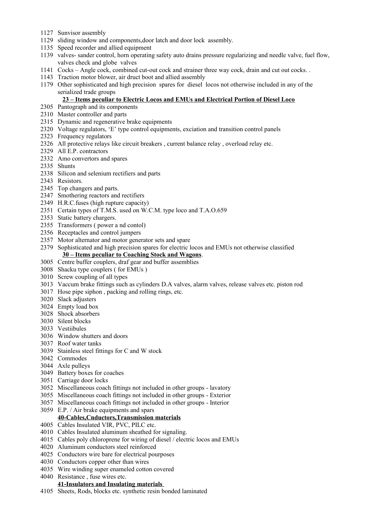- Sunvisor assembly
- sliding window and components,door latch and door lock assembly.
- Speed recorder and allied equipment
- valves- sander control, horn operating safety auto drains pressure regularizing and needle valve, fuel flow, valves check and globe valves
- Cocks Angle cock, combined cut-out cock and strainer three way cock, drain and cut out cocks. .
- Traction motor blower, air druct boot and allied assembly
- Other sophisticated and high precision spares for diesel locos not otherwise included in any of the serialized trade groups

### **23 – Items peculiar to Electric Locos and EMUs and Electrical Portion of Diesel Loco**

- Pantograph and its components
- Master controller and parts
- Dynamic and regenerative brake equipments
- Voltage regulators, 'E' type control equipments, exciation and transition control panels
- Frequency regulators
- All protective relays like circuit breakers , current balance relay , overload relay etc.
- All E.P. contractors
- Amo convertors and spares
- Shunts
- Silicon and selenium rectifiers and parts
- Resistors.
- Top changers and parts.
- Smothering reactors and rectifiers
- H.R.C.fuses (high rupture capacity)
- Certain types of T.M.S. used on W.C.M. type loco and T.A.O.659
- Static battery chargers.
- Transformers ( power a nd contol)
- Receptacles and control jumpers
- Motor alternator and motor generator sets and spare
- Sophisticated and high precision spares for electric locos and EMUs not otherwise classified **30 – Items peculiar to Coaching Stock and Wagons**.
- Centre buffer couplers, draf gear and buffer assemblies
- Shacku type couplers ( for EMUs )
- Screw coupling of all types
- Vaccum brake fittings such as cylinders D.A valves, alarm valves, release valves etc. piston rod
- Hose pipe siphon , packing and rolling rings, etc.
- Slack adjusters
- Empty load box
- Shock absorbers
- Silent blocks
- Vestiibules
- Window shutters and doors
- Roof water tanks
- Stainless steel fittings for C and W stock
- Commodes
- Axle pulleys
- Battery boxes for coaches
- Carriage door locks
- Miscellaneous coach fittings not included in other groups lavatory
- Miscellaneous coach fittings not included in other groups Exterior
- Miscellaneous coach fittings not included in other groups Interior
- E.P. / Air brake equipments and spars

## **40-Cables,Cnductors,Transmission materials**

- Cables Insulated VIR, PVC, PILC etc.
- Cables Insulated aluminum sheathed for signaling.
- Cables poly chloroprene for wiring of diesel / electric locos and EMUs
- Aluminum conductors steel reinforced
- Conductors wire bare for electrical pourposes
- Conductors copper other than wires
- Wire winding super enameled cotton covered
- Resistance , fuse wires etc.

## **41-Insulators and Insulating materials**

Sheets, Rods, blocks etc. synthetic resin bonded laminated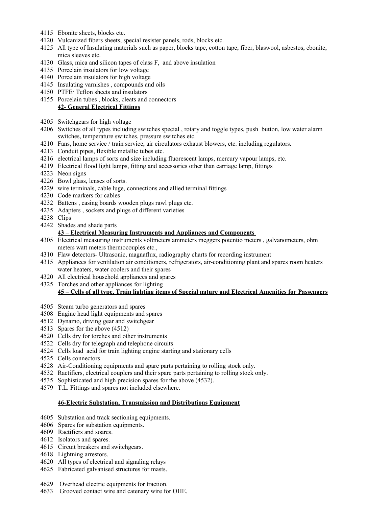- Ebonite sheets, blocks etc.
- Vulcanized fibers sheets, special resister panels, rods, blocks etc.
- All type of Insulating materials such as paper, blocks tape, cotton tape, fiber, blaswool, asbestos, ebonite, mica sleeves etc.
- Glass, mica and silicon tapes of class F, and above insulation
- Porcelain insulators for low voltage
- Porcelain insulators for high voltage
- Insulating varnishes , compounds and oils
- PTFE/ Teflon sheets and insulators
- Porcelain tubes , blocks, cleats and connectors **42- General Electrical Fittings**
- Switchgears for high voltage
- Switches of all types including switches special , rotary and toggle types, push button, low water alarm switches, temperature switches, pressure switches etc.
- Fans, home service / train service, air circulators exhaust blowers, etc. including regulators.
- Conduit pipes, flexible metallic tubes etc.
- electrical lamps of sorts and size including fluorescent lamps, mercury vapour lamps, etc.
- Electrical flood light lamps, fitting and accessories other than carriage lamp, fittings
- Neon signs
- Bowl glass, lenses of sorts.
- wire terminals, cable luge, connections and allied terminal fittings
- Code markers for cables
- Battens , casing boards wooden plugs rawl plugs etc.
- Adapters , sockets and plugs of different varieties
- Clips
- Shades and shade parts

### **43 – Electrical Measuring Instruments and Appliances and Components**

- Electrical measuring instruments voltmeters ammeters meggers potentio meters , galvanometers, ohm meters watt meters thermocouples etc.,
- Flaw detectors- Ultrasonic, magnaflux, radiography charts for recording instrument
- Appliances for ventilation air conditioners, refrigerators, air-conditioning plant and spares room heaters water heaters, water coolers and their spares
- All electrical household appliances and spares
- Torches and other appliances for lighting **45 – Cells of all type, Train lighting items of Special nature and Electrical Amenities for Passengers**
- Steam turbo generators and spares
- Engine head light equipments and spares
- Dynamo, driving gear and switchgear
- Spares for the above (4512)
- Cells dry for torches and other instruments
- Cells dry for telegraph and telephone circuits
- Cells load acid for train lighting engine starting and stationary cells
- Cells connectors
- Air-Conditioning equipments and spare parts pertaining to rolling stock only.
- Ractifiers, electrical couplers and their spare parts pertaining to rolling stock only.
- Sophisticated and high precision spares for the above (4532).
- T.L. Fittings and spares not included elsewhere.

### **46-Electric Substation, Transmission and Distributions Equipment**

- Substation and track sectioning equipments.
- 4606 Spares for substation equipments.
- 4609 Ractifiers and soares.
- 4612 Isolators and spares.
- 4615 Circuit breakers and switchgears.
- 4618 Lightning arrestors.
- 4620 All types of electrical and signaling relays
- 4625 Fabricated galvanised structures for masts.
- 4629 Overhead electric equipments for traction.
- 4633 Grooved contact wire and catenary wire for OHE.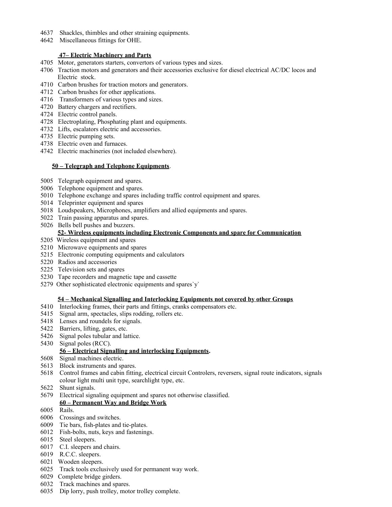- 4637 Shackles, thimbles and other straining equipments.
- 4642 Miscellaneous fittings for OHE.

## **47– Electric Machinery and Parts**

- 4705 Motor, generators starters, convertors of various types and sizes.
- 4706 Traction motors and generators and their accessories exclusive for diesel electrical AC/DC locos and Electric stock.
- 4710 Carbon brushes for traction motors and generators.
- 4712 Carbon brushes for other applications.
- 4716 Transformers of various types and sizes.
- 4720 Battery chargers and rectifiers.
- 4724 Electric control panels.
- 4728 Electroplating, Phosphating plant and equipments.
- 4732 Lifts, escalators electric and accessories.
- 4735 Electric pumping sets.
- 4738 Electric oven and furnaces.
- 4742 Electric machineries (not included elsewhere).

### **50 – Telegraph and Telephone Equipments**.

- 5005 Telegraph equipment and spares.
- 5006 Telephone equipment and spares.
- 5010 Telephone exchange and spares including traffic control equipment and spares.
- 5014 Teleprinter equipment and spares
- 5018 Loudspeakers, Microphones, amplifiers and allied equipments and spares.
- 5022 Train passing apparatus and spares.
- 5026 Bells bell pushes and buzzers.

# **52- Wireless equipments including Electronic Components and spare for Communication**

- 5205 Wireless equipment and spares
- 5210 Microwave equipments and spares
- 5215 Electronic computing equipments and calculators
- 5220 Radios and accessories
- 5225 Television sets and spares
- 5230 Tape recorders and magnetic tape and cassette
- 5279 Other sophisticated electronic equipments and spares`y`

## **54 – Mechanical Signalling and Interlocking Equipments not covered by other Groups**

- 5410 Interlocking frames, their parts and fittings, cranks compensators etc.
- 5415 Signal arm, spectacles, slips rodding, rollers etc.
- 5418 Lenses and roundels for signals.
- 5422 Barriers, lifting, gates, etc.
- 5426 Signal poles tubular and lattice.
- 5430 Signal poles (RCC).

## **56 – Electrical Signalling and interlocking Equipments.**

- 5608 Signal machines electric.
- 5613 Block instruments and spares.
- 5618 Control frames and cabin fitting, electrical circuit Controlers, reversers, signal route indicators, signals colour light multi unit type, searchlight type, etc.
- 5622 Shunt signals.
- 5679 Electrical signaling equipment and spares not otherwise classified.

# **60 – Permanent Way and Bridge Work**

- 6005 Rails.
- 6006 Crossings and switches.
- 6009 Tie bars, fish-plates and tie-plates.
- 6012 Fish-bolts, nuts, keys and fastenings.
- 6015 Steel sleepers.
- 6017 C.I. sleepers and chairs.
- 6019 R.C.C. sleepers.
- 6021 Wooden sleepers.
- 6025 Track tools exclusively used for permanent way work.
- 6029 Complete bridge girders.
- 6032 Track machines and spares.
- 6035 Dip lorry, push trolley, motor trolley complete.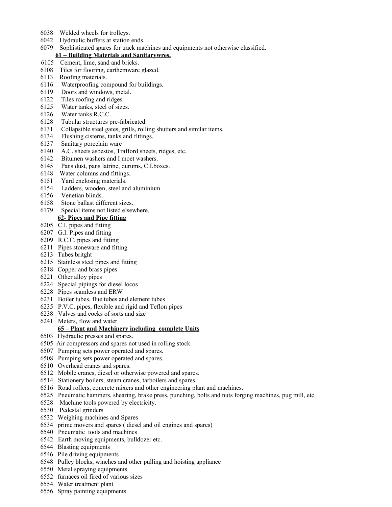- 6038 Welded wheels for trolleys.
- 6042 Hydraulic buffers at station ends.
- 6079 Sophisticated spares for track machines and equipments not otherwise classified.

# **61 – Building Materials and Sanitarywres.**

- 6105 Cement, lime, sand and bricks.
- 6108 Tiles for flooring, earthemware glazed.
- 6113 Roofing materials.
- 6116 Waterproofing compound for buildings.
- 6119 Doors and windows, metal.
- 6122 Tiles roofing and ridges.
- 6125 Water tanks, steel of sizes.
- 6126 Water tanks R.C.C.
- 6128 Tubular structures pre-fabricated.
- 6131 Collapsible steel gates, grills, rolling shutters and similar items.
- 6134 Flushing cisterns, tanks and fittings.
- 6137 Sanitary porcelain ware
- 6140 A.C. sheets asbestos, Trafford sheets, ridges, etc.
- 6142 Bitumen washers and I moet washers.
- 6145 Pans dust, pans latrine, durums, C.I.boxes.
- 6148 Water columns and fittings.
- 6151 Yard enclosing materials.
- 6154 Ladders, wooden, steel and aluminium.
- 6156 Venetian blinds.
- 6158 Stone ballast different sizes.
- 6179 Special items not listed elsewhere.
- **62- Pipes and Pipe fitting**
- 6205 C.I. pipes and fitting
- 6207 G.I. Pipes and fitting
- 6209 R.C.C. pipes and fitting
- 6211 Pipes stoneware and fitting
- 6213 Tubes britght
- 6215 Stainless steel pipes and fitting
- 6218 Copper and brass pipes
- 6221 Other alloy pipes
- 6224 Special pipings for diesel locos
- 6228 Pipes scamless and ERW
- 6231 Boiler tubes, flue tubes and element tubes
- 6235 P.V.C. pipes, flexible and rigid and Teflon pipes
- 6238 Valves and cocks of sorts and size
- 6241 Meters, flow and water

## **65 – Plant and Machinery including complete Units**

- 6503 Hydraulic presses and spares.
- 6505 Air compressors and spares not used in rolling stock.
- 6507 Pumping sets power operated and spares.
- 6508 Pumping sets power operated and spares.
- 6510 Overhead cranes and spares.
- 6512 Mobile cranes, diesel or otherwise powered and spares.
- 6514 Stationery boilers, steam cranes, tarboilers and spares.
- 6516 Road rollers, concrete mixers and other engineering plant and machines.
- 6525 Pneumatic hammers, shearing, brake press, punching, bolts and nuts forging machines, pug mill, etc.
- 6528 Machine tools powered by electricity.
- 6530 Pedestal grinders
- 6532 Weighing machines and Spares
- 6534 prime movers and spares ( diesel and oil engines and spares)
- 6540 Pneumatic tools and machines
- 6542 Earth moving equipments, bulldozer etc.
- 6544 Blasting equipments
- 6546 Pile driving equipments
- 6548 Pulley blocks, winches and other pulling and hoisting appliance
- 6550 Metal spraying equipments
- 6552 furnaces oil fired of various sizes
- 6554 Water treatment plant
- 6556 Spray painting equipments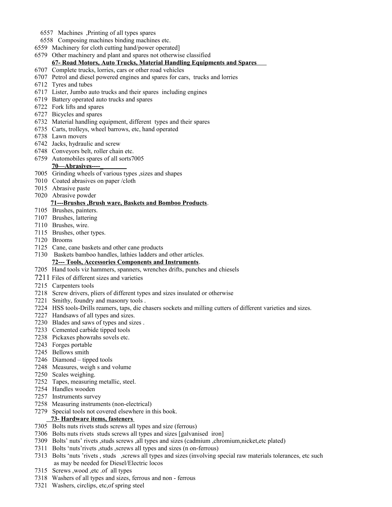- 6557 Machines ,Printing of all types spares
- 6558 Composing machines binding machines etc.
- 6559 Machinery for cloth cutting hand/power operated]
- 6579 Other machinery and plant and spares not otherwise classified

# **67- Road Motors, Auto Trucks, Material Handling Equipments and Spares**

- 6707 Complete trucks, lorries, cars or other road vehicles
- 6707 Petrol and diesel powered engines and spares for cars, trucks and lorries
- 6712 Tyres and tubes
- 6717 Lister, Jumbo auto trucks and their spares including engines
- 6719 Battery operated auto trucks and spares
- 6722 Fork lifts and spares
- 6727 Bicycles and spares
- 6732 Material handling equipment, different types and their spares
- 6735 Carts, trolleys, wheel barrows, etc, hand operated
- 6738 Lawn movers
- 6742 Jacks, hydraulic and screw
- 6748 Conveyors belt, roller chain etc.
- 6759 Automobiles spares of all sorts7005

## **70—Abrasives----\_**

- 7005 Grinding wheels of various types ,sizes and shapes
- 7010 Coated abrasives on paper /cloth
- 7015 Abrasive paste
- 7020 Abrasive powder

## **71---Brushes ,Brush ware, Baskets and Bomboo Products**.

- 7105 Brushes, painters.
- 7107 Brushes, lattering
- 7110 Brushes, wire.
- 7115 Brushes, other types.
- 7120 Brooms
- 7125 Cane, cane baskets and other cane products
- 7130 Baskets bamboo handles, lathies ladders and other articles.

# **72--- Tools, Accessories Components and Instruments**.

- 7205 Hand tools viz hammers, spanners, wrenches drifts, punches and chiesels
- 7211 Files of different sizes and varieties
- 7215 Carpenters tools
- 7218 Screw drivers, pliers of different types and sizes insulated or otherwise
- 7221 Smithy, foundry and masonry tools .
- 7224 HSS tools-Drills reamers, taps, die chasers sockets and milling cutters of different varieties and sizes.
- 7227 Handsaws of all types and sizes.
- 7230 Blades and saws of types and sizes .
- 7233 Cemented carbide tipped tools
- 7238 Pickaxes phowrahs sovels etc.
- 7243 Forges portable
- 7245 Bellows smith
- 7246 Diamond tipped tools
- 7248 Measures, weigh s and volume
- 7250 Scales weighing.
- 7252 Tapes, measuring metallic, steel.
- 7254 Handles wooden
- 7257 Instruments survey
- 7258 Measuring instruments (non-electrical)
- 7279 Special tools not covered elsewhere in this book.

# **73- Hardware items, fasteners**

- 7305 Bolts nuts rivets studs screws all types and size (ferrous)
- 7306 Bolts nuts rivets studs screws all types and sizes [galvanised iron]
- 7309 Bolts' nuts' rivets ,studs screws ,all types and sizes (cadmium ,chromium,nicket,etc plated)
- 7311 Bolts 'nuts'rivets ,studs ,screws all types and sizes (n on-ferrous)
- 7313 Bolts 'nuts 'rivets , studs ,screws all types and sizes (involving special raw materials tolerances, etc such as may be needed for Diesel/Electric locos
- 7315 Screws ,wood ,etc .of all types
- 7318 Washers of all types and sizes, ferrous and non ferrous
- 7321 Washers, circlips, etc,of spring steel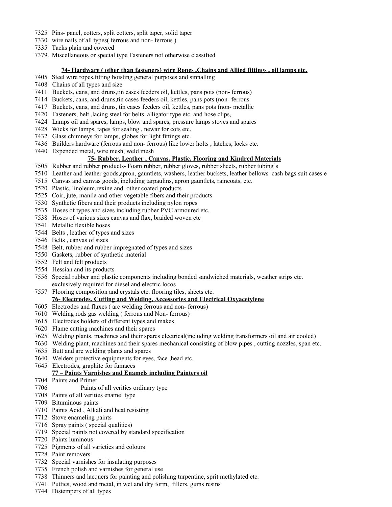- 7325 Pins- panel, cotters, split cotters, split taper, solid taper
- 7330 wire nails of all types( ferrous and non- ferrous )
- 7335 Tacks plain and covered
- 7379. Miscellaneous or special type Fasteners not otherwise classified

### **74- Hardware ( other than fasteners) wire Ropes ,Chains and Allied fittings , oil lamps etc.**

- 7405 Steel wire ropes,fitting hoisting general purposes and sinnalling
- 7408 Chains of all types and size
- 7411 Buckets, cans, and druns,tin cases feeders oil, kettles, pans pots (non- ferrous)
- 7414 Buckets, cans, and druns,tin cases feeders oil, kettles, pans pots (non- ferrous
- 7417 Buckets, cans, and druns, tin cases feeders oil, kettles, pans pots (non- metallic
- 7420 Fasteners, belt ,lacing steel for belts alligator type etc. and hose clips,
- 7424 Lamps oil and spares, lamps, blow and spares, pressure lamps stoves and spares
- 7428 Wicks for lamps, tapes for sealing , newar for cots etc.
- 7432 Glass chimneys for lamps, globes for light fittings etc.
- 7436 Builders hardware (ferrous and non- ferrous) like lower holts , latches, locks etc.
- 7440 Expended metal, wire mesh, weld mesh

## **75- Rubber, Leather , Canvas, Plastic, Flooring and Kindred Materials**

- 7505 Rubber and rubber products- Foam rubber, rubber gloves, rubber sheets, rubber tubing's
- 7510 Leather and leather goods,apron, gauntlets, washers, leather buckets, leather bellows cash bags suit cases e
- 7515 Canvas and canvas goods, including tarpaulins, apron gauntlets, raincoats, etc.
- 7520 Plastic, linoleum,rexine and other coated products
- 7525 Coir, jute, manila and other vegetable fibers and their products
- 7530 Synthetic fibers and their products including nylon ropes
- 7535 Hoses of types and sizes including rubber PVC armoured etc.
- 7538 Hoses of various sizes canvas and flax, braided woven etc
- 7541 Metallic flexible hoses
- 7544 Belts , leather of types and sizes
- 7546 Belts , canvas of sizes
- 7548 Belt, rubber and rubber impregnated of types and sizes
- 7550 Gaskets, rubber of synthetic material
- 7552 Felt and felt products
- 7554 Hessian and its products
- 7556 Special rubber and plastic components including bonded sandwiched materials, weather strips etc. exclusively required for diesel and electric locos
- 7557 Flooring composition and crystals etc. flooring tiles, sheets etc.

## **76- Electrodes, Cutting and Welding, Accessories and Electrical Oxyacetylene**

- 7605 Electrodes and fluxes ( arc welding ferrous and non- ferrous)
- 7610 Welding rods gas welding ( ferrous and Non- ferrous)
- 7615 Electrodes holders of different types and makes
- 7620 Flame cutting machines and their spares
- 7625 Welding plants, machines and their spares electrical(including welding transformers oil and air cooled)
- 7630 Welding plant, machines and their spares mechanical consisting of blow pipes , cutting nozzles, span etc.
- 7635 Butt and arc welding plants and spares
- 7640 Welders protective equipments for eyes, face ,head etc.
- 7645 Electrodes, graphite for fumaces

# **77 – Paints Varnishes and Enamels including Painters oil**

- 7704 Paints and Primer
- 7706 Paints of all verities ordinary type
- 7708 Paints of all verities enamel type
- 7709 Bituminous paints
- 7710 Paints Acid , Alkali and heat resisting
- 7712 Stove enameling paints
- 7716 Spray paints ( special qualities)
- 7719 Special paints not covered by standard specification
- 7720 Paints luminous
- 7725 Pigments of all varieties and colours
- 7728 Paint removers
- 7732 Special varnishes for insulating purposes
- 7735 French polish and varnishes for general use
- 7738 Thinners and lacquers for painting and polishing turpentine, sprit methylated etc.
- 7741 Putties, wood and metal, in wet and dry form, fillers, gums resins
- 7744 Distempers of all types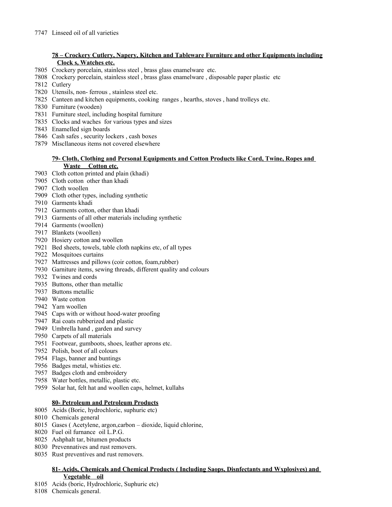# **78 – Crockery Cutlery, Napery, Kitchen and Tableware Furniture and other Equipments including Clock s, Watches etc.**

- Crockery porcelain, stainless steel , brass glass enamelware etc.
- Crockery porcelain, stainless steel , brass glass enamelware , disposable paper plastic etc
- Cutlery
- Utensils, non- ferrous , stainless steel etc.
- Canteen and kitchen equipments, cooking ranges , hearths, stoves , hand trolleys etc.
- Furniture (wooden)
- Furniture steel, including hospital furniture
- Clocks and waches for various types and sizes
- Enamelled sign boards
- Cash safes , security lockers , cash boxes
- Miscllaneous items not covered elsewhere

### **79- Cloth, Clothing and Personal Equipments and Cotton Products like Cord, Twine, Ropes and Waste Cotton etc.**

- Cloth cotton printed and plain (khadi)
- Cloth cotton other than khadi
- Cloth woollen
- Cloth other types, including synthetic
- Garments khadi
- Garments cotton, other than khadi
- Garments of all other materials including synthetic
- Garments (woollen)
- Blankets (woollen)
- Hosiery cotton and woollen
- Bed sheets, towels, table cloth napkins etc, of all types
- Mosquitoes curtains
- Mattresses and pillows (coir cotton, foam,rubber)
- Garniture items, sewing threads, different quality and colours
- Twines and cords
- Buttons, other than metallic
- Buttons metallic
- Waste cotton
- Yarn woollen
- Caps with or without hood-water proofing
- Rai coats rubberized and plastic
- Umbrella hand , garden and survey
- Carpets of all materials
- Footwear, gumboots, shoes, leather aprons etc.
- Polish, boot of all colours
- Flags, banner and buntings
- Badges metal, whisties etc.
- Badges cloth and embroidery
- Water bottles, metallic, plastic etc.
- Solar hat, felt hat and woollen caps, helmet, kullahs

# **80- Petroleum and Petroleum Products**

- Acids (Boric, hydrochloric, suphuric etc)
- Chemicals general
- Gases ( Acetylene, argon,carbon dioxide, liquid chlorine,
- Fuel oil furnance oil L.P.G.
- Ashphalt tar, bitumen products
- Prevennatives and rust removers.
- Rust preventives and rust removers.

## **81- Acids, Chemicals and Chemical Products ( Including Saops, Disnfectants and Wxplosives) and Vegetable oil**

- Acids (boric, Hydrochloric, Suphuric etc)
- Chemicals general.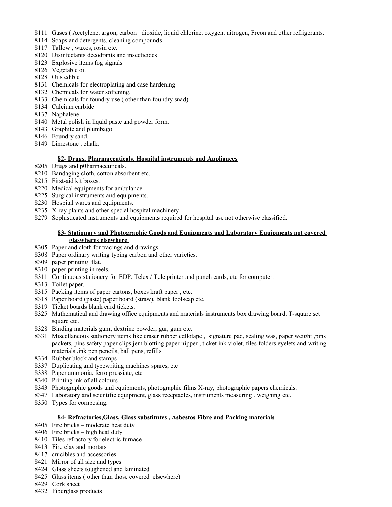- Gases ( Acetylene, argon, carbon –dioxide, liquid chlorine, oxygen, nitrogen, Freon and other refrigerants.
- Soaps and detergents, cleaning compounds
- Tallow , waxes, rosin etc.
- Disinfectants decodrants and insecticides
- Explosive items fog signals
- Vegetable oil
- Oils edible
- Chemicals for electroplating and case hardening
- Chemicals for water softening.
- Chemicals for foundry use ( other than foundry snad)
- Calcium carbide
- Naphalene.
- Metal polish in liquid paste and powder form.
- Graphite and plumbago
- Foundry sand.
- Limestone , chalk.

### **82- Drugs, Pharmaceuticals, Hospital instruments and Appliances**

- Drugs and p0harmaceuticals.
- Bandaging cloth, cotton absorbent etc.
- First-aid kit boxes.
- Medical equipments for ambulance.
- Surgical instruments and equipments.
- Hospital wares and equipments.
- X-ray plants and other special hospital machinery
- Sophisticated instruments and equipments required for hospital use not otherwise classified.

## **83- Stationary and Photographic Goods and Equipments and Laboratory Equipments not covered glaswheres elsewhere**

- Paper and cloth for tracings and drawings
- Paper ordinary writing typing carbon and other varieties.
- paper printing flat.
- paper printing in reels.
- 8311 Continuous stationery for EDP. Telex / Tele printer and punch cards, etc for computer.
- Toilet paper.
- Packing items of paper cartons, boxes kraft paper , etc.
- Paper board (paste) paper board (straw), blank foolscap etc.
- Ticket boards blank card tickets.
- Mathematical and drawing office equipments and materials instruments box drawing board, T-square set square etc.
- Binding materials gum, dextrine powder, gur, gum etc.
- Miscellaneous stationery items like eraser rubber cellotape , signature pad, sealing was, paper weight ,pins packets, pins safety paper clips jem blotting paper nipper , ticket ink violet, files folders eyelets and writing materials ,ink pen pencils, ball pens, refills
- Rubber block and stamps
- Duplicating and typewriting machines spares, etc
- Paper ammonia, ferro prussiate, etc
- Printing ink of all colours
- Photographic goods and equipments, photographic films X-ray, photographic papers chemicals.
- Laboratory and scientific equipment, glass receptacles, instruments measuring . weighing etc.
- Types for composing.

## **84- Refractories,Glass, Glass substitutes , Asbestos Fibre and Packing materials**

- Fire bricks moderate heat duty
- Fire bricks high heat duty
- Tiles refractory for electric furnace
- 8413 Fire clay and mortars
- crucibles and accessories
- Mirror of all size and types
- 8424 Glass sheets toughened and laminated
- Glass items ( other than those covered elsewhere)
- 8429 Cork sheet
- 8432 Fiberglass products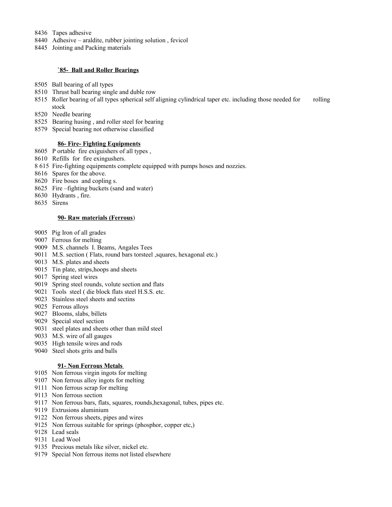- 8436 Tapes adhesive
- 8440 Adhesive araldite, rubber jointing solution , fevicol
- 8445 Jointing and Packing materials

### **`85- Ball and Roller Bearings**

- 8505 Ball bearing of all types
- 8510 Thrust ball bearing single and duble row
- 8515 Roller bearing of all types spherical self aligning cylindrical taper etc. including those needed for rolling stock
- 8520 Needle bearing
- 8525 Bearing husing , and roller steel for bearing
- 8579 Special bearing not otherwise classified

### **86- Fire- Fighting Equipments**

- 8605 P ortable fire exiguishers of all types ,
- 8610 Refills for fire exingushers.
- 8 615 Fire-fighting equipments complete equipped with pumps hoses and nozzies.
- 8616 Spares for the above.
- 8620 Fire boses and copling s.
- 8625 Fire –fighting buckets (sand and water)
- 8630 Hydrants , fire.
- 8635 Sirens

### **90- Raw materials (Ferrous**)

- 9005 Pig Iron of all grades
- 9007 Ferrous for melting
- 9009 M.S. channels I. Beams, Angales Tees
- 9011 M.S. section ( Flats, round bars torsteel ,squares, hexagonal etc.)
- 9013 M.S. plates and sheets
- 9015 Tin plate, strips,hoops and sheets
- 9017 Spring steel wires
- 9019 Spring steel rounds, volute section and flats
- 9021 Tools steel ( die block flats steel H.S.S. etc.
- 9023 Stainless steel sheets and sectins
- 9025 Ferrous alloys
- 9027 Blooms, slabs, billets
- 9029 Special steel section
- 9031 steel plates and sheets other than mild steel
- 9033 M.S. wire of all gauges
- 9035 High tensile wires and rods
- 9040 Steel shots grits and balls

### **91- Non Ferrous Metals**

- 9105 Non ferrous virgin ingots for melting
- 9107 Non ferrous alloy ingots for melting
- 9111 Non ferrous scrap for melting
- 9113 Non ferrous section
- 9117 Non ferrous bars, flats, squares, rounds,hexagonal, tubes, pipes etc.
- 9119 Extrusions aluminium
- 9122 Non ferrous sheets, pipes and wires
- 9125 Non ferrous suitable for springs (phosphor, copper etc,)
- 9128 Lead seals
- 9131 Lead Wool
- 9135 Precious metals like silver, nickel etc.
- 9179 Special Non ferrous items not listed elsewhere